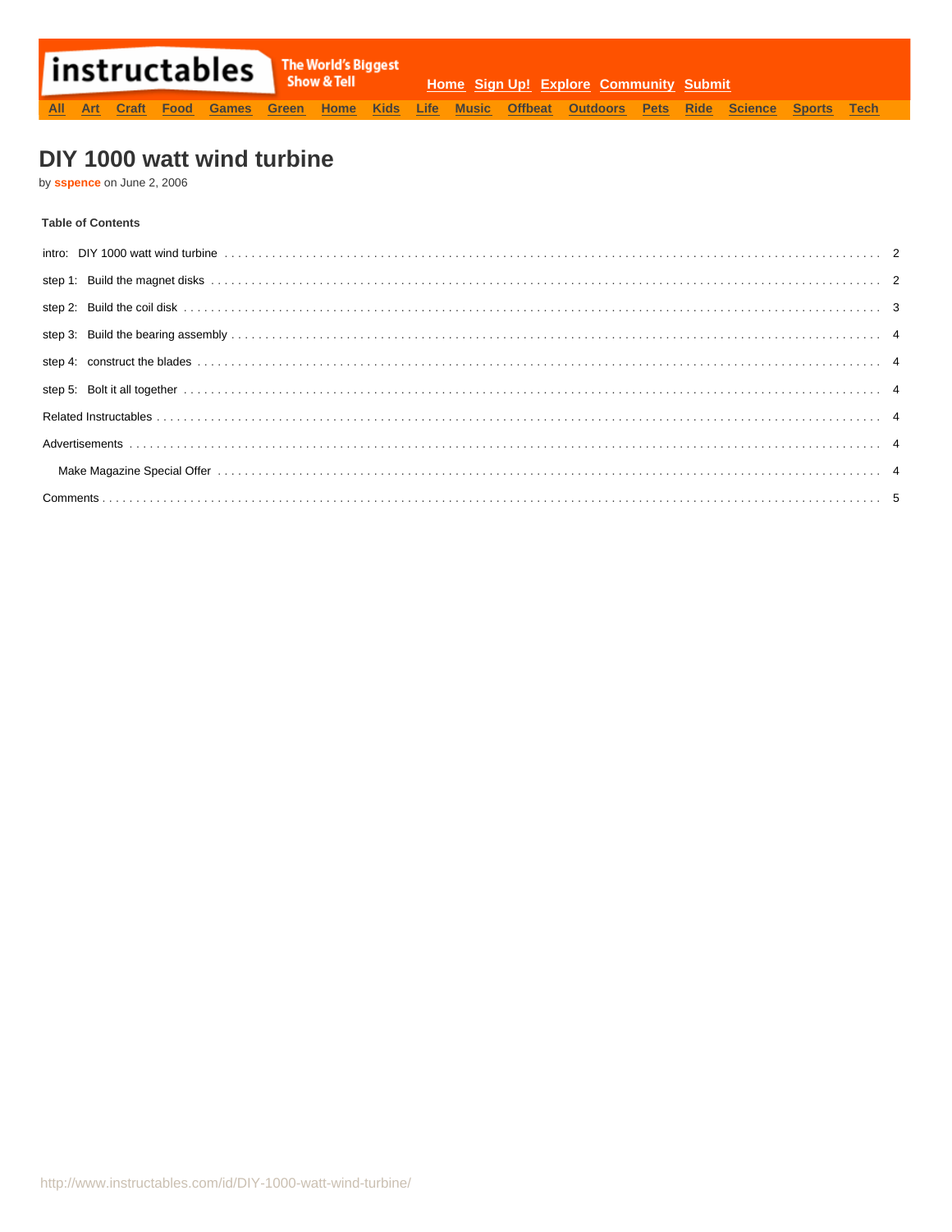# DIY 1000 watt wind turbine

by sspence on June 2, 2006

## **Table of Contents**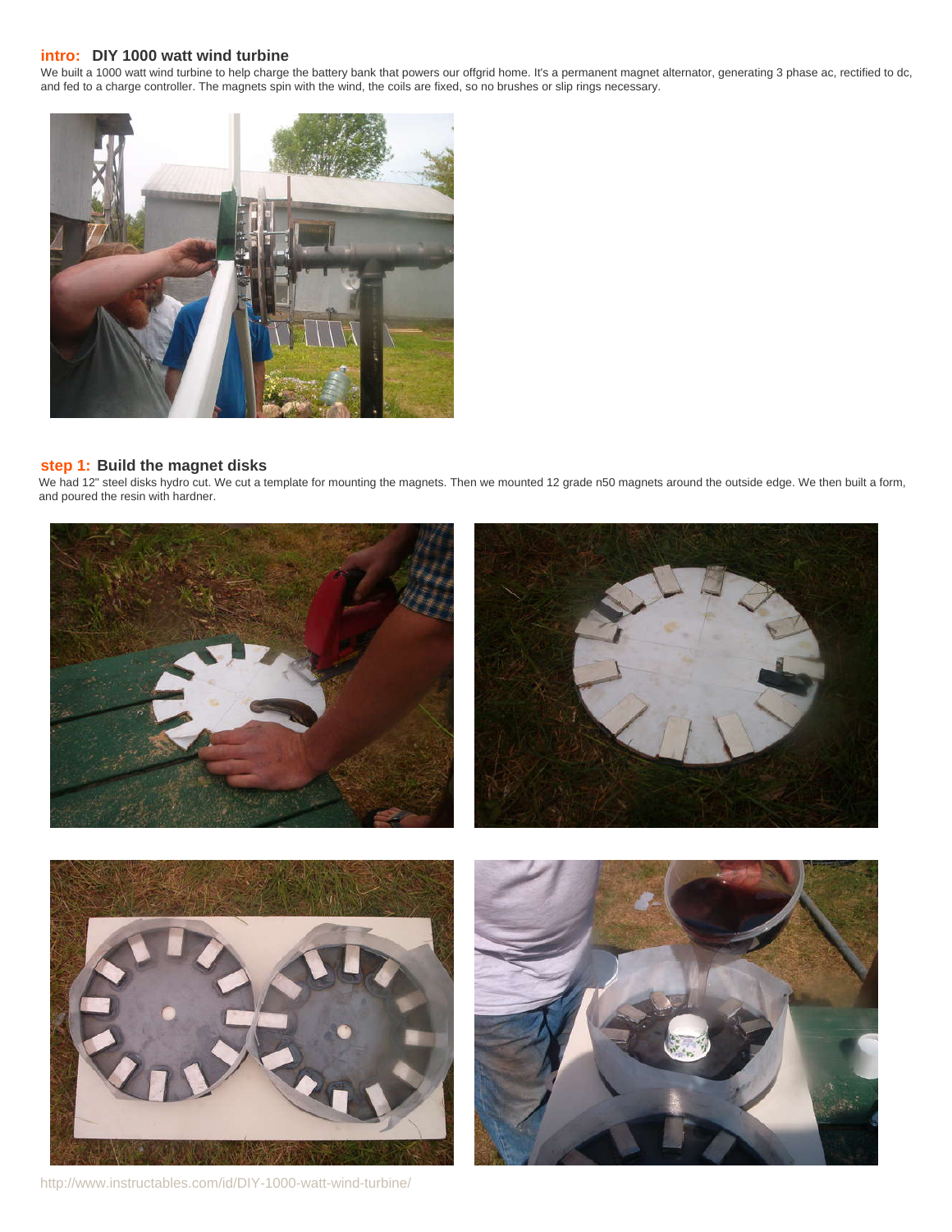## <span id="page-1-0"></span>**intro: DIY 1000 watt wind turbine**

We built a 1000 watt wind turbine to help charge the battery bank that powers our offgrid home. It's a permanent magnet alternator, generating 3 phase ac, rectified to dc, and fed to a charge controller. The magnets spin with the wind, the coils are fixed, so no brushes or slip rings necessary.



## **step 1: Build the magnet disks**

We had 12" steel disks hydro cut. We cut a template for mounting the magnets. Then we mounted 12 grade n50 magnets around the outside edge. We then built a form, and poured the resin with hardner.



http://www.instructables.com/id/DIY-1000-watt-wind-turbine/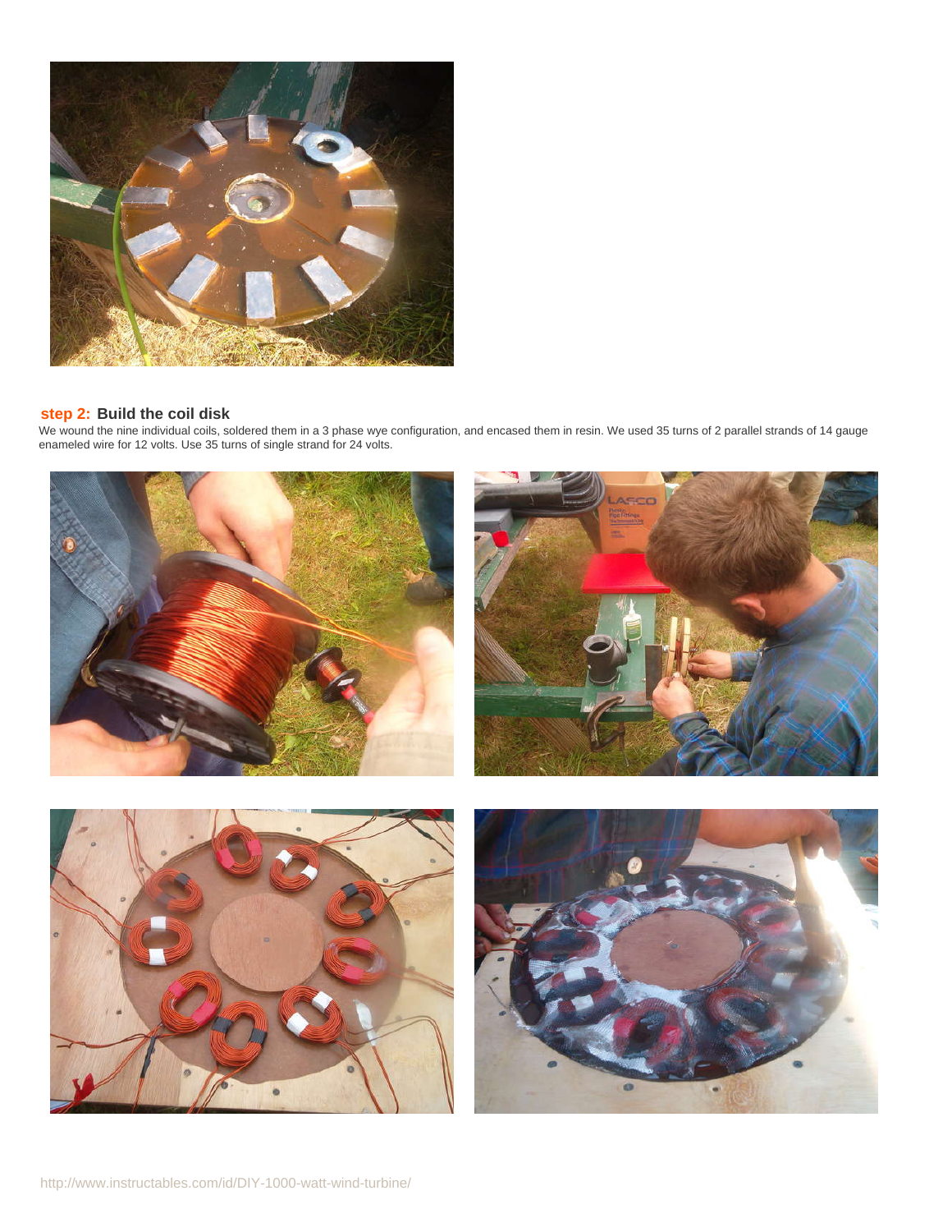<span id="page-2-0"></span>

## **step 2: Build the coil disk**

We wound the nine individual coils, soldered them in a 3 phase wye configuration, and encased them in resin. We used 35 turns of 2 parallel strands of 14 gauge enameled wire for 12 volts. Use 35 turns of single strand for 24 volts.

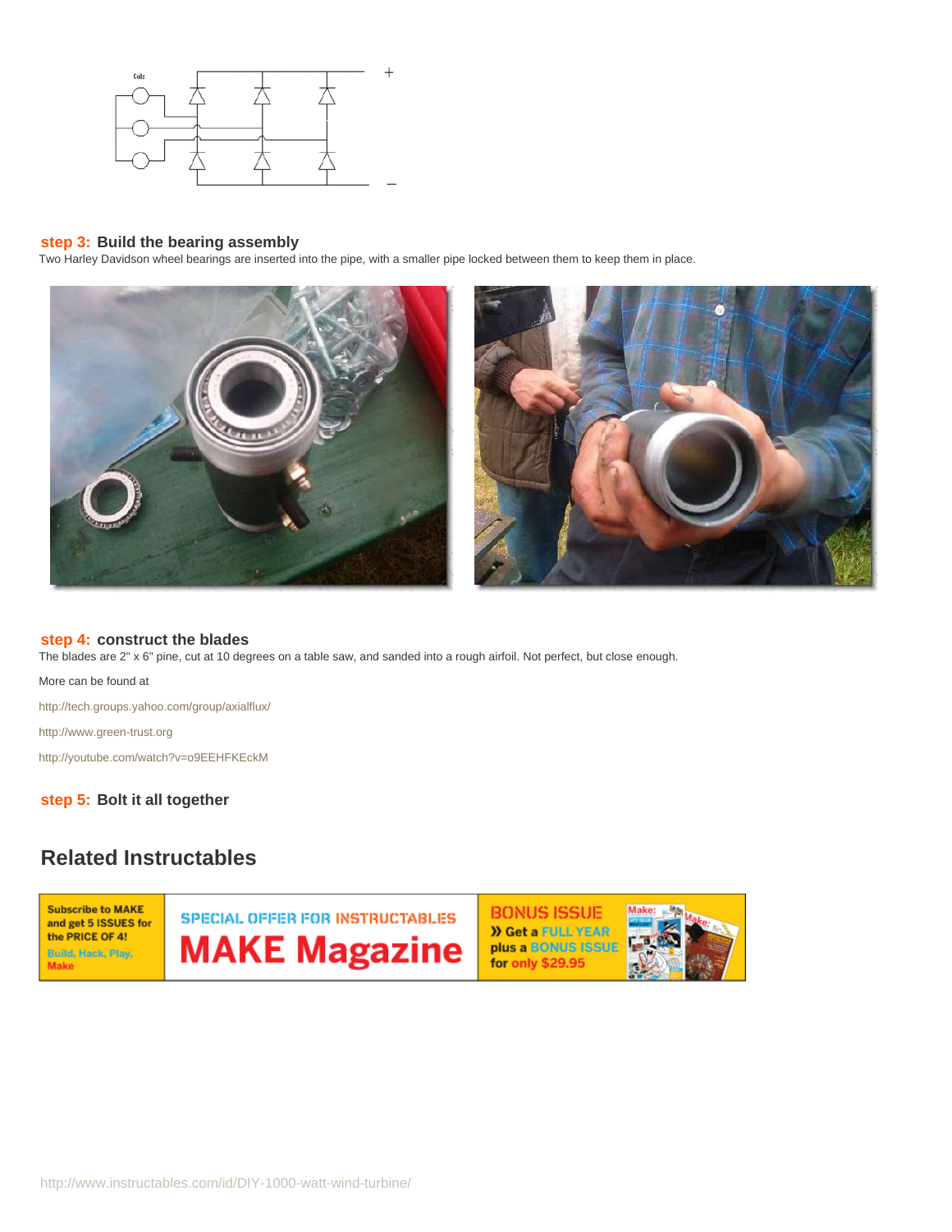<span id="page-3-0"></span>

## **step 3: Build the bearing assembly**

Two Harley Davidson wheel bearings are inserted into the pipe, with a smaller pipe locked between them to keep them in place.



## **step 4: construct the blades**

The blades are 2" x 6" pine, cut at 10 degrees on a table saw, and sanded into a rough airfoil. Not perfect, but close enough.

More can be found at

<http://tech.groups.yahoo.com/group/axialflux/>

<http://www.green-trust.org>

<http://youtube.com/watch?v=o9EEHFKEckM>

**step 5: Bolt it all together**

# **Related Instructables**

**Subscribe to MAKE** and get 5 ISSUES for the PRICE OF 4! Build, Hack, Play, **Make** 

SPECIAL OFFER FOR INSTRUCTABLES **MAKE Magazine**  **BONUS ISSUE >> Get a FULL YEAR** plus a BONUS ISSUE for only \$29.95

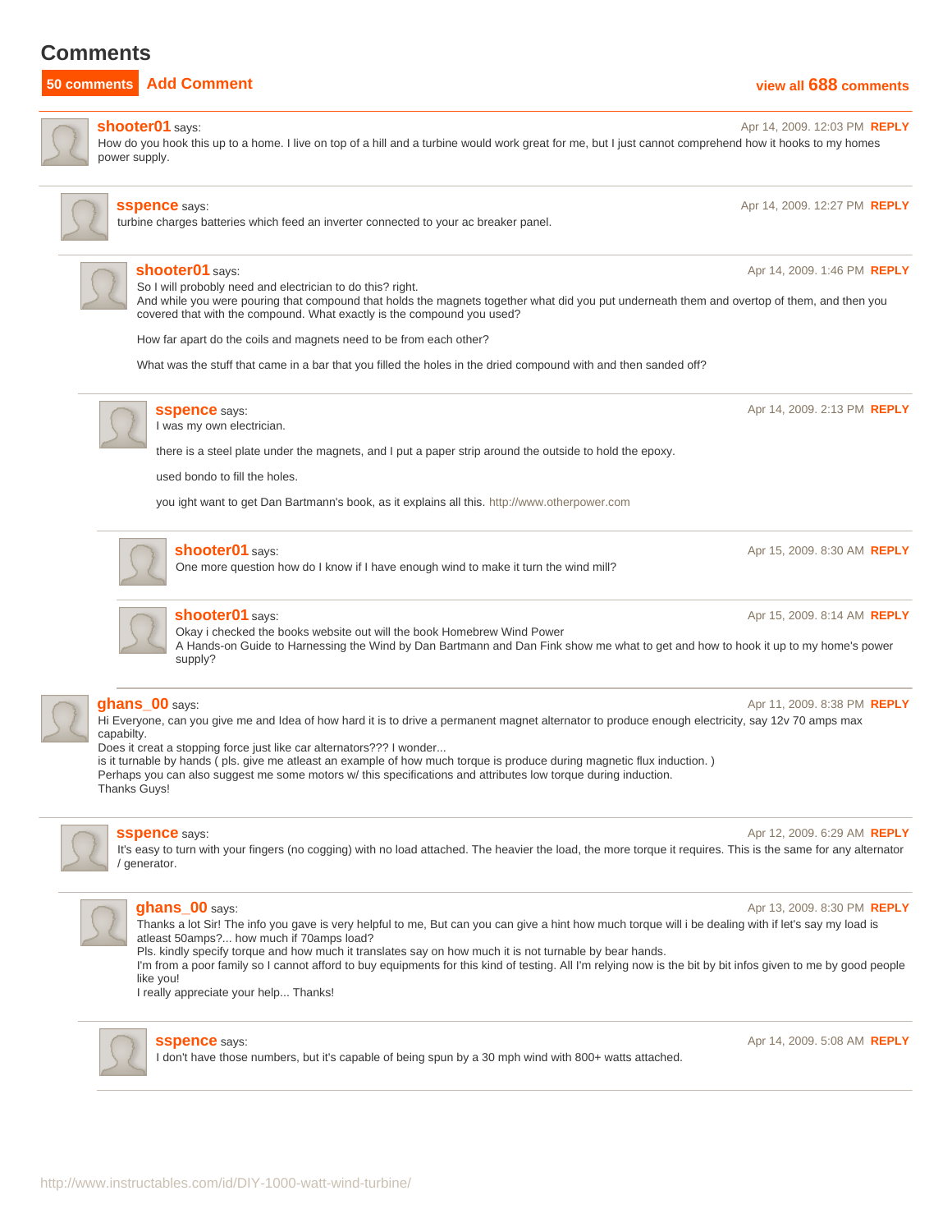# <span id="page-4-0"></span>**Comments**

## **50 comments [Add Comment](http://www.instructables.com/id/DIY-1000-watt-wind-turbine/?utm_source=pdf&utm_campaign=comments#comments) [view all](http://www.instructables.com/id/DIY-1000-watt-wind-turbine/?utm_source=pdf&utm_campaign=comments&comments=all&sort=OLDEST#comments) [688](http://www.instructables.com/id/DIY-1000-watt-wind-turbine/?utm_source=pdf&utm_campaign=comments&comments=all&sort=OLDEST#comments) [comments](http://www.instructables.com/id/DIY-1000-watt-wind-turbine/?utm_source=pdf&utm_campaign=comments&comments=all&sort=OLDEST#comments)**



**[shooter01](http://www.instructables.com/member/shooter01/?utm_source=pdf&utm_campaign=comments)** says: Apr 14, 2009. 12:03 PM **[REPLY](http://www.instructables.com/id/DIY-1000-watt-wind-turbine/?utm_source=pdf&utm_campaign=comments#DISCUSS)** How do you hook this up to a home. I live on top of a hill and a turbine would work great for me, but I just cannot comprehend how it hooks to my homes power supply.



## **SSpence** says: **Apr 14, 2009. 12:27 PM <b>[REPLY](http://www.instructables.com/id/DIY-1000-watt-wind-turbine/?utm_source=pdf&utm_campaign=comments#DISCUSS)**

turbine charges batteries which feed an inverter connected to your ac breaker panel.



### **[shooter01](http://www.instructables.com/member/shooter01/?utm_source=pdf&utm_campaign=comments)** says: Apr 14, 2009. 1:46 PM **[REPLY](http://www.instructables.com/id/DIY-1000-watt-wind-turbine/?utm_source=pdf&utm_campaign=comments#DISCUSS)**

So I will probobly need and electrician to do this? right.

And while you were pouring that compound that holds the magnets together what did you put underneath them and overtop of them, and then you covered that with the compound. What exactly is the compound you used?

How far apart do the coils and magnets need to be from each other?

What was the stuff that came in a bar that you filled the holes in the dried compound with and then sanded off?



## **SSpence** says: Apr 14, 2009. 2:13 PM **[REPLY](http://www.instructables.com/id/DIY-1000-watt-wind-turbine/?utm_source=pdf&utm_campaign=comments#DISCUSS) Apr 14, 2009. 2:13 PM <b>REPLY**

I was my own electrician.

there is a steel plate under the magnets, and I put a paper strip around the outside to hold the epoxy.

used bondo to fill the holes.

you ight want to get Dan Bartmann's book, as it explains all this.<http://www.otherpower.com>



## **[shooter01](http://www.instructables.com/member/shooter01/?utm_source=pdf&utm_campaign=comments)** says: Apr 15, 2009. 8:30 AM **[REPLY](http://www.instructables.com/id/DIY-1000-watt-wind-turbine/?utm_source=pdf&utm_campaign=comments#DISCUSS) Apr 25, 2009. 8:30 AM <b>REPLY**

One more question how do I know if I have enough wind to make it turn the wind mill?

**[shooter01](http://www.instructables.com/member/shooter01/?utm_source=pdf&utm_campaign=comments)** says: Apr 15, 2009. 8:14 AM **[REPLY](http://www.instructables.com/id/DIY-1000-watt-wind-turbine/?utm_source=pdf&utm_campaign=comments#DISCUSS) Apr 15, 2009. 8:14 AM <b>REPLY** Okay i checked the books website out will the book Homebrew Wind Power A Hands-on Guide to Harnessing the Wind by Dan Bartmann and Dan Fink show me what to get and how to hook it up to my home's power supply?



### **[ghans\\_00](http://www.instructables.com/member/ghans_00/?utm_source=pdf&utm_campaign=comments)** says: Apr 11, 2009. 8:38 PM **[REPLY](http://www.instructables.com/id/DIY-1000-watt-wind-turbine/?utm_source=pdf&utm_campaign=comments#DISCUSS)**

Hi Everyone, can you give me and Idea of how hard it is to drive a permanent magnet alternator to produce enough electricity, say 12v 70 amps max capabilty.

Does it creat a stopping force just like car alternators??? I wonder...

is it turnable by hands ( pls. give me atleast an example of how much torque is produce during magnetic flux induction. ) Perhaps you can also suggest me some motors w/ this specifications and attributes low torque during induction. Thanks Guys!



**SSpence** says: Apr 12, 2009. 6:29 AM **[REPLY](http://www.instructables.com/id/DIY-1000-watt-wind-turbine/?utm_source=pdf&utm_campaign=comments#DISCUSS) Apr 12, 2009. 6:29 AM <b>REPLY** 

It's easy to turn with your fingers (no cogging) with no load attached. The heavier the load, the more torque it requires. This is the same for any alternator / generator.



## **[ghans\\_00](http://www.instructables.com/member/ghans_00/?utm_source=pdf&utm_campaign=comments)** says: Apr 13, 2009. 8:30 PM **[REPLY](http://www.instructables.com/id/DIY-1000-watt-wind-turbine/?utm_source=pdf&utm_campaign=comments#DISCUSS)**

Thanks a lot Sir! The info you gave is very helpful to me, But can you can give a hint how much torque will i be dealing with if let's say my load is atleast 50amps?... how much if 70amps load?

Pls. kindly specify torque and how much it translates say on how much it is not turnable by bear hands.

I'm from a poor family so I cannot afford to buy equipments for this kind of testing. All I'm relying now is the bit by bit infos given to me by good people like you!

I really appreciate your help... Thanks!



I don't have those numbers, but it's capable of being spun by a 30 mph wind with 800+ watts attached.

**[sspence](http://www.instructables.com/member/sspence/?utm_source=pdf&utm_campaign=comments)** says: Apr 14, 2009. 5:08 AM **[REPLY](http://www.instructables.com/id/DIY-1000-watt-wind-turbine/?utm_source=pdf&utm_campaign=comments#DISCUSS)**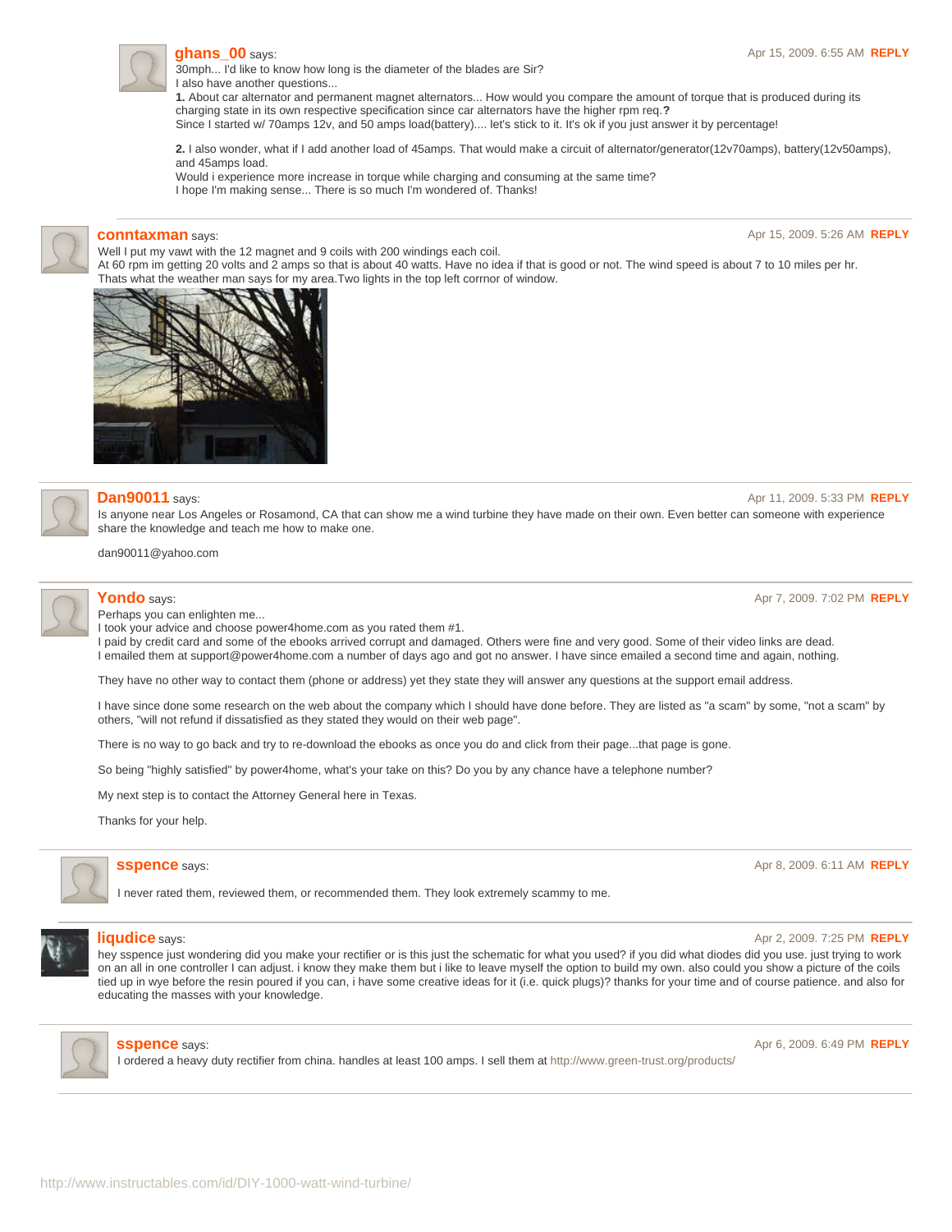

30mph... I'd like to know how long is the diameter of the blades are Sir? I also have another questions...

**1.** About car alternator and permanent magnet alternators... How would you compare the amount of torque that is produced during its charging state in its own respective specification since car alternators have the higher rpm req.**?**

Since I started w/ 70amps 12v, and 50 amps load(battery).... let's stick to it. It's ok if you just answer it by percentage!

**2.** I also wonder, what if I add another load of 45amps. That would make a circuit of alternator/generator(12v70amps), battery(12v50amps), and 45amps load.

Would i experience more increase in torque while charging and consuming at the same time? I hope I'm making sense... There is so much I'm wondered of. Thanks!



**[conntaxman](http://www.instructables.com/member/conntaxman/?utm_source=pdf&utm_campaign=comments)** says: Apr 15, 2009. 5:26 AM **[REPLY](http://www.instructables.com/id/DIY-1000-watt-wind-turbine/?utm_source=pdf&utm_campaign=comments#DISCUSS)**

Well I put my vawt with the 12 magnet and 9 coils with 200 windings each coil. At 60 rpm im getting 20 volts and 2 amps so that is about 40 watts. Have no idea if that is good or not. The wind speed is about 7 to 10 miles per hr. Thats what the weather man says for my area.Two lights in the top left corrnor of window.





## **[Dan90011](http://www.instructables.com/member/Dan90011/?utm_source=pdf&utm_campaign=comments)** says: Apr 11, 2009. 5:33 PM **[REPLY](http://www.instructables.com/id/DIY-1000-watt-wind-turbine/?utm_source=pdf&utm_campaign=comments#DISCUSS)**

Is anyone near Los Angeles or Rosamond, CA that can show me a wind turbine they have made on their own. Even better can someone with experience share the knowledge and teach me how to make one.

dan90011@yahoo.com

Perhaps you can enlighten me...

I took your advice and choose power4home.com as you rated them #1.

I paid by credit card and some of the ebooks arrived corrupt and damaged. Others were fine and very good. Some of their video links are dead. I emailed them at support@power4home.com a number of days ago and got no answer. I have since emailed a second time and again, nothing.

They have no other way to contact them (phone or address) yet they state they will answer any questions at the support email address.

I have since done some research on the web about the company which I should have done before. They are listed as "a scam" by some, "not a scam" by others, "will not refund if dissatisfied as they stated they would on their web page".

There is no way to go back and try to re-download the ebooks as once you do and click from their page...that page is gone.

So being "highly satisfied" by power4home, what's your take on this? Do you by any chance have a telephone number?

My next step is to contact the Attorney General here in Texas.

Thanks for your help.



I never rated them, reviewed them, or recommended them. They look extremely scammy to me.



### **[liqudice](http://www.instructables.com/member/liqudice/?utm_source=pdf&utm_campaign=comments)** says: Apr 2, 2009. 7:25 PM **[REPLY](http://www.instructables.com/id/DIY-1000-watt-wind-turbine/?utm_source=pdf&utm_campaign=comments#DISCUSS) Apr 2, 2009. 7:25 PM <b>REPLY**

hey sspence just wondering did you make your rectifier or is this just the schematic for what you used? if you did what diodes did you use. just trying to work on an all in one controller I can adjust. i know they make them but i like to leave myself the option to build my own. also could you show a picture of the coils tied up in wye before the resin poured if you can, i have some creative ideas for it (i.e. quick plugs)? thanks for your time and of course patience. and also for educating the masses with your knowledge.



http://www.instructables.com/id/DIY-1000-watt-wind-turbine/

I ordered a heavy duty rectifier from china. handles at least 100 amps. I sell them at<http://www.green-trust.org/products/>

**[Yondo](http://www.instructables.com/member/Yondo/?utm_source=pdf&utm_campaign=comments)** says: Apr 7, 2009. 7:02 PM **[REPLY](http://www.instructables.com/id/DIY-1000-watt-wind-turbine/?utm_source=pdf&utm_campaign=comments#DISCUSS)**

**SSpence** says: **Apr 8, 2009. 6:11 AM <b>[REPLY](http://www.instructables.com/id/DIY-1000-watt-wind-turbine/?utm_source=pdf&utm_campaign=comments#DISCUSS)** 

**SSDENCE** says: Apr 6, 2009. 6:49 PM **[REPLY](http://www.instructables.com/id/DIY-1000-watt-wind-turbine/?utm_source=pdf&utm_campaign=comments#DISCUSS)**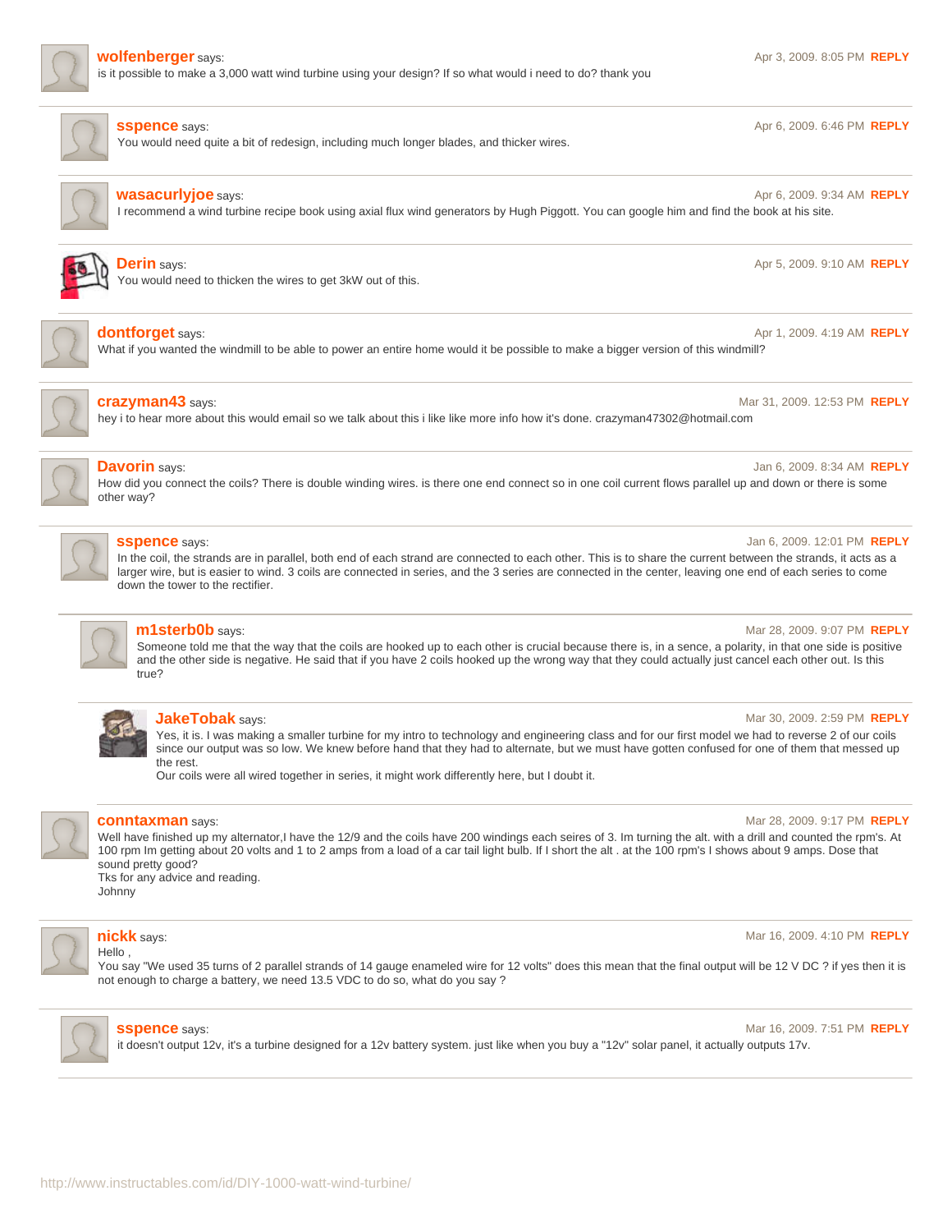

is it possible to make a 3,000 watt wind turbine using your design? If so what would i need to do? thank you

**SSpence** says: **Apr 6, 2009. 6:46 PM <b>[REPLY](http://www.instructables.com/id/DIY-1000-watt-wind-turbine/?utm_source=pdf&utm_campaign=comments#DISCUSS) Apr 6, 2009. 6:46 PM <b>REPLY** 

You would need quite a bit of redesign, including much longer blades, and thicker wires.



## **[wasacurlyjoe](http://www.instructables.com/member/wasacurlyjoe/?utm_source=pdf&utm_campaign=comments)** says: Apr 6, 2009. 9:34 AM **[REPLY](http://www.instructables.com/id/DIY-1000-watt-wind-turbine/?utm_source=pdf&utm_campaign=comments#DISCUSS)**

I recommend a wind turbine recipe book using axial flux wind generators by Hugh Piggott. You can google him and find the book at his site.



## **[Derin](http://www.instructables.com/member/Derin/?utm_source=pdf&utm_campaign=comments)** says: Apr 5, 2009. 9:10 AM **[REPLY](http://www.instructables.com/id/DIY-1000-watt-wind-turbine/?utm_source=pdf&utm_campaign=comments#DISCUSS)**

You would need to thicken the wires to get 3kW out of this.



## **[dontforget](http://www.instructables.com/member/dontforget/?utm_source=pdf&utm_campaign=comments)** says: Apr 1, 2009. 4:19 AM **[REPLY](http://www.instructables.com/id/DIY-1000-watt-wind-turbine/?utm_source=pdf&utm_campaign=comments#DISCUSS)**

What if you wanted the windmill to be able to power an entire home would it be possible to make a bigger version of this windmill?



## **[crazyman43](http://www.instructables.com/member/crazyman43/?utm_source=pdf&utm_campaign=comments)** says: Mar 31, 2009. 12:53 PM **[REPLY](http://www.instructables.com/id/DIY-1000-watt-wind-turbine/?utm_source=pdf&utm_campaign=comments#DISCUSS)**

hey i to hear more about this would email so we talk about this i like like more info how it's done. crazyman47302@hotmail.com



## **[Davorin](http://www.instructables.com/member/Davorin/?utm_source=pdf&utm_campaign=comments)** says: Jan 6, 2009. 8:34 AM **[REPLY](http://www.instructables.com/id/DIY-1000-watt-wind-turbine/?utm_source=pdf&utm_campaign=comments#DISCUSS)**

How did you connect the coils? There is double winding wires. is there one end connect so in one coil current flows parallel up and down or there is some other way?



### **[sspence](http://www.instructables.com/member/sspence/?utm_source=pdf&utm_campaign=comments)** says: **Jan 6, 2009. 12:01 PM <b>[REPLY](http://www.instructables.com/id/DIY-1000-watt-wind-turbine/?utm_source=pdf&utm_campaign=comments#DISCUSS) Jan 6, 2009. 12:01 PM <b>REPLY Jan 6, 2009. 12:01 PM <b>REPLY**

In the coil, the strands are in parallel, both end of each strand are connected to each other. This is to share the current between the strands, it acts as a larger wire, but is easier to wind. 3 coils are connected in series, and the 3 series are connected in the center, leaving one end of each series to come down the tower to the rectifier.

### **[m1sterb0b](http://www.instructables.com/member/m1sterb0b/?utm_source=pdf&utm_campaign=comments)** says: Mar 28, 2009. 9:07 PM **[REPLY](http://www.instructables.com/id/DIY-1000-watt-wind-turbine/?utm_source=pdf&utm_campaign=comments#DISCUSS)**

Someone told me that the way that the coils are hooked up to each other is crucial because there is, in a sence, a polarity, in that one side is positive and the other side is negative. He said that if you have 2 coils hooked up the wrong way that they could actually just cancel each other out. Is this true?



Yes, it is. I was making a smaller turbine for my intro to technology and engineering class and for our first model we had to reverse 2 of our coils since our output was so low. We knew before hand that they had to alternate, but we must have gotten confused for one of them that messed up the rest.

Our coils were all wired together in series, it might work differently here, but I doubt it.



## **[conntaxman](http://www.instructables.com/member/conntaxman/?utm_source=pdf&utm_campaign=comments)** says: **Mar 28, 2009. 9:17 PM <b>[REPLY](http://www.instructables.com/id/DIY-1000-watt-wind-turbine/?utm_source=pdf&utm_campaign=comments#DISCUSS) Mar 28, 2009. 9:17 PM <b>REPLY**

Well have finished up my alternator,I have the 12/9 and the coils have 200 windings each seires of 3. Im turning the alt. with a drill and counted the rpm's. At 100 rpm Im getting about 20 volts and 1 to 2 amps from a load of a car tail light bulb. If I short the alt . at the 100 rpm's I shows about 9 amps. Dose that sound pretty good?

Tks for any advice and reading. Johnny



### **[nickk](http://www.instructables.com/member/nickk/?utm_source=pdf&utm_campaign=comments)** says: Mar 16, 2009. 4:10 PM **[REPLY](http://www.instructables.com/id/DIY-1000-watt-wind-turbine/?utm_source=pdf&utm_campaign=comments#DISCUSS)** Hello ,

You say "We used 35 turns of 2 parallel strands of 14 gauge enameled wire for 12 volts" does this mean that the final output will be 12 V DC ? if yes then it is not enough to charge a battery, we need 13.5 VDC to do so, what do you say ?



**SSpence** says: **Mar 16, 2009. 7:51 PM <b>[REPLY](http://www.instructables.com/id/DIY-1000-watt-wind-turbine/?utm_source=pdf&utm_campaign=comments#DISCUSS) Mar 16, 2009. 7:51 PM <b>REPLY** 

it doesn't output 12v, it's a turbine designed for a 12v battery system. just like when you buy a "12v" solar panel, it actually outputs 17v.

**[JakeTobak](http://www.instructables.com/member/JakeTobak/?utm_source=pdf&utm_campaign=comments)** says: Mar 30, 2009. 2:59 PM **[REPLY](http://www.instructables.com/id/DIY-1000-watt-wind-turbine/?utm_source=pdf&utm_campaign=comments#DISCUSS)**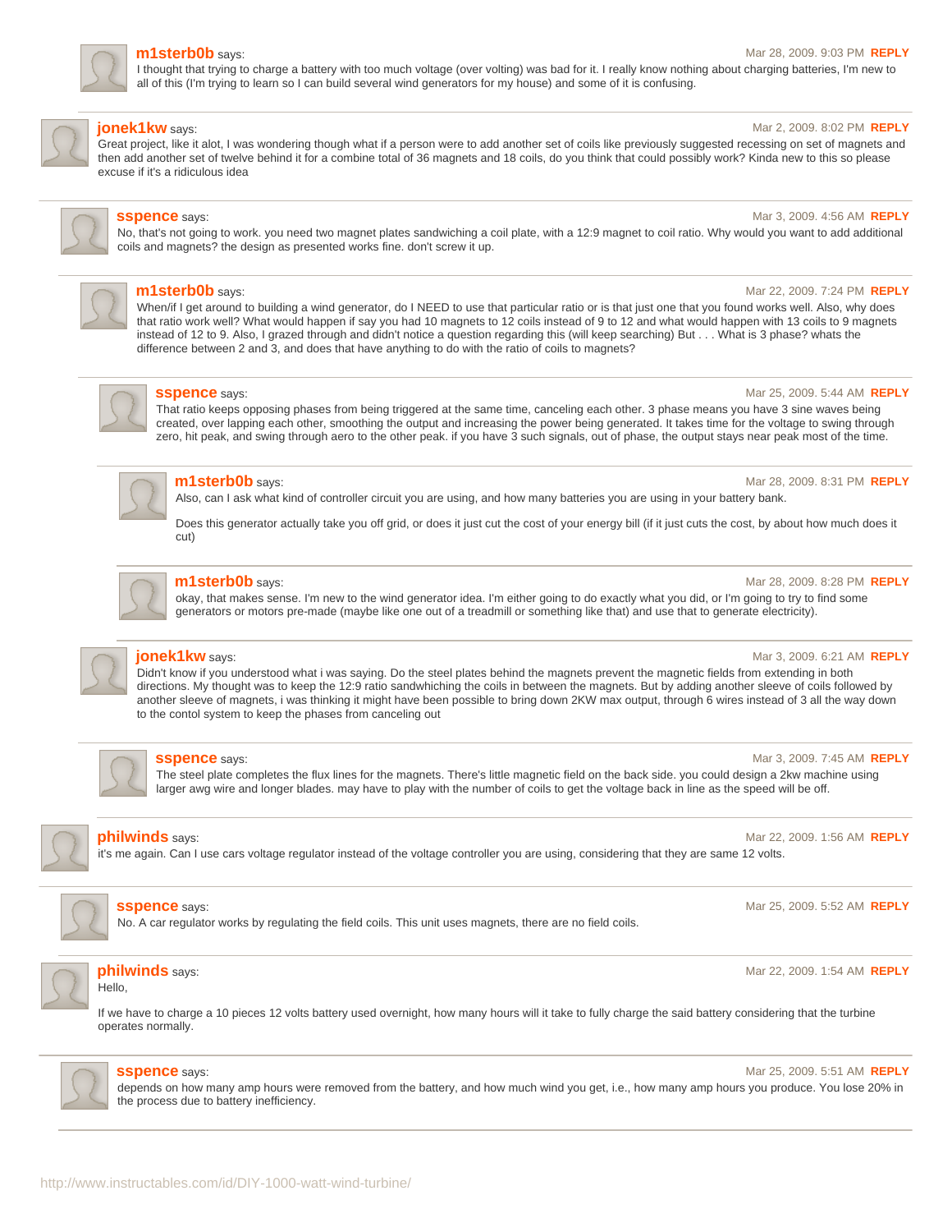

### **[m1sterb0b](http://www.instructables.com/member/m1sterb0b/?utm_source=pdf&utm_campaign=comments)** says: Mar 28, 2009. 9:03 PM **[REPLY](http://www.instructables.com/id/DIY-1000-watt-wind-turbine/?utm_source=pdf&utm_campaign=comments#DISCUSS)**

I thought that trying to charge a battery with too much voltage (over volting) was bad for it. I really know nothing about charging batteries, I'm new to all of this (I'm trying to learn so I can build several wind generators for my house) and some of it is confusing.



## **[jonek1kw](http://www.instructables.com/member/jonek1kw/?utm_source=pdf&utm_campaign=comments)** says: Mar 2, 2009. 8:02 PM **[REPLY](http://www.instructables.com/id/DIY-1000-watt-wind-turbine/?utm_source=pdf&utm_campaign=comments#DISCUSS)**

Great project, like it alot, I was wondering though what if a person were to add another set of coils like previously suggested recessing on set of magnets and then add another set of twelve behind it for a combine total of 36 magnets and 18 coils, do you think that could possibly work? Kinda new to this so please excuse if it's a ridiculous idea

**SSpence** says: **Mar 3, 2009. 4:56 AM <b>[REPLY](http://www.instructables.com/id/DIY-1000-watt-wind-turbine/?utm_source=pdf&utm_campaign=comments#DISCUSS) Mar 3, 2009. 4:56 AM <b>REPLY** 

No, that's not going to work. you need two magnet plates sandwiching a coil plate, with a 12:9 magnet to coil ratio. Why would you want to add additional coils and magnets? the design as presented works fine. don't screw it up.



## **[m1sterb0b](http://www.instructables.com/member/m1sterb0b/?utm_source=pdf&utm_campaign=comments)** says: **Married Step 2009. 7:24 PM <b>[REPLY](http://www.instructables.com/id/DIY-1000-watt-wind-turbine/?utm_source=pdf&utm_campaign=comments#DISCUSS) Married Step 30 and 22, 2009. 7:24 PM <b>REPLY**

When/if I get around to building a wind generator, do I NEED to use that particular ratio or is that just one that you found works well. Also, why does that ratio work well? What would happen if say you had 10 magnets to 12 coils instead of 9 to 12 and what would happen with 13 coils to 9 magnets instead of 12 to 9. Also, I grazed through and didn't notice a question regarding this (will keep searching) But . . . What is 3 phase? whats the difference between 2 and 3, and does that have anything to do with the ratio of coils to magnets?



**[sspence](http://www.instructables.com/member/sspence/?utm_source=pdf&utm_campaign=comments)** says: **Mar 25, 2009. 5:44 AM <b>[REPLY](http://www.instructables.com/id/DIY-1000-watt-wind-turbine/?utm_source=pdf&utm_campaign=comments#DISCUSS) Mar 25, 2009. 5:44 AM <b>REPLY** 

That ratio keeps opposing phases from being triggered at the same time, canceling each other. 3 phase means you have 3 sine waves being created, over lapping each other, smoothing the output and increasing the power being generated. It takes time for the voltage to swing through zero, hit peak, and swing through aero to the other peak. if you have 3 such signals, out of phase, the output stays near peak most of the time.



## **[m1sterb0b](http://www.instructables.com/member/m1sterb0b/?utm_source=pdf&utm_campaign=comments)** says: **March 28, 2009. 8:31 PM <b>[REPLY](http://www.instructables.com/id/DIY-1000-watt-wind-turbine/?utm_source=pdf&utm_campaign=comments#DISCUSS) March 28, 2009. 8:31 PM <b>REPLY**

Also, can I ask what kind of controller circuit you are using, and how many batteries you are using in your battery bank.

Does this generator actually take you off grid, or does it just cut the cost of your energy bill (if it just cuts the cost, by about how much does it cut)



# **[m1sterb0b](http://www.instructables.com/member/m1sterb0b/?utm_source=pdf&utm_campaign=comments)** says: Mar 28, 2009. 8:28 PM **[REPLY](http://www.instructables.com/id/DIY-1000-watt-wind-turbine/?utm_source=pdf&utm_campaign=comments#DISCUSS)**

okay, that makes sense. I'm new to the wind generator idea. I'm either going to do exactly what you did, or I'm going to try to find some generators or motors pre-made (maybe like one out of a treadmill or something like that) and use that to generate electricity).



### **[jonek1kw](http://www.instructables.com/member/jonek1kw/?utm_source=pdf&utm_campaign=comments)** says: Mar 3, 2009. 6:21 AM **[REPLY](http://www.instructables.com/id/DIY-1000-watt-wind-turbine/?utm_source=pdf&utm_campaign=comments#DISCUSS)**

Didn't know if you understood what i was saying. Do the steel plates behind the magnets prevent the magnetic fields from extending in both directions. My thought was to keep the 12:9 ratio sandwhiching the coils in between the magnets. But by adding another sleeve of coils followed by another sleeve of magnets, i was thinking it might have been possible to bring down 2KW max output, through 6 wires instead of 3 all the way down to the contol system to keep the phases from canceling out



### **SSpence** says: **Mar 3, 2009. 7:45 AM <b>[REPLY](http://www.instructables.com/id/DIY-1000-watt-wind-turbine/?utm_source=pdf&utm_campaign=comments#DISCUSS) Mar 3, 2009. 7:45 AM <b>REPLY**

The steel plate completes the flux lines for the magnets. There's little magnetic field on the back side. you could design a 2kw machine using larger awg wire and longer blades. may have to play with the number of coils to get the voltage back in line as the speed will be off.



### **[philwinds](http://www.instructables.com/member/philwinds/?utm_source=pdf&utm_campaign=comments)** says: Mar 22, 2009. 1:56 AM **[REPLY](http://www.instructables.com/id/DIY-1000-watt-wind-turbine/?utm_source=pdf&utm_campaign=comments#DISCUSS)**

it's me again. Can I use cars voltage regulator instead of the voltage controller you are using, considering that they are same 12 volts.



### **SSpence** says: **Mar 25, 2009. 5:52 AM <b>[REPLY](http://www.instructables.com/id/DIY-1000-watt-wind-turbine/?utm_source=pdf&utm_campaign=comments#DISCUSS) Mar 25, 2009. 5:52 AM <b>REPLY**

No. A car regulator works by regulating the field coils. This unit uses magnets, there are no field coils.



# **[philwinds](http://www.instructables.com/member/philwinds/?utm_source=pdf&utm_campaign=comments)** says: Mar 22, 2009. 1:54 AM **[REPLY](http://www.instructables.com/id/DIY-1000-watt-wind-turbine/?utm_source=pdf&utm_campaign=comments#DISCUSS)**

Hello,

If we have to charge a 10 pieces 12 volts battery used overnight, how many hours will it take to fully charge the said battery considering that the turbine operates normally.



### **SSpence** says: **Mar 25, 2009. 5:51 AM <b>[REPLY](http://www.instructables.com/id/DIY-1000-watt-wind-turbine/?utm_source=pdf&utm_campaign=comments#DISCUSS) Mar 25, 2009. 5:51 AM <b>REPLY**

depends on how many amp hours were removed from the battery, and how much wind you get, i.e., how many amp hours you produce. You lose 20% in the process due to battery inefficiency.

http://www.instructables.com/id/DIY-1000-watt-wind-turbine/